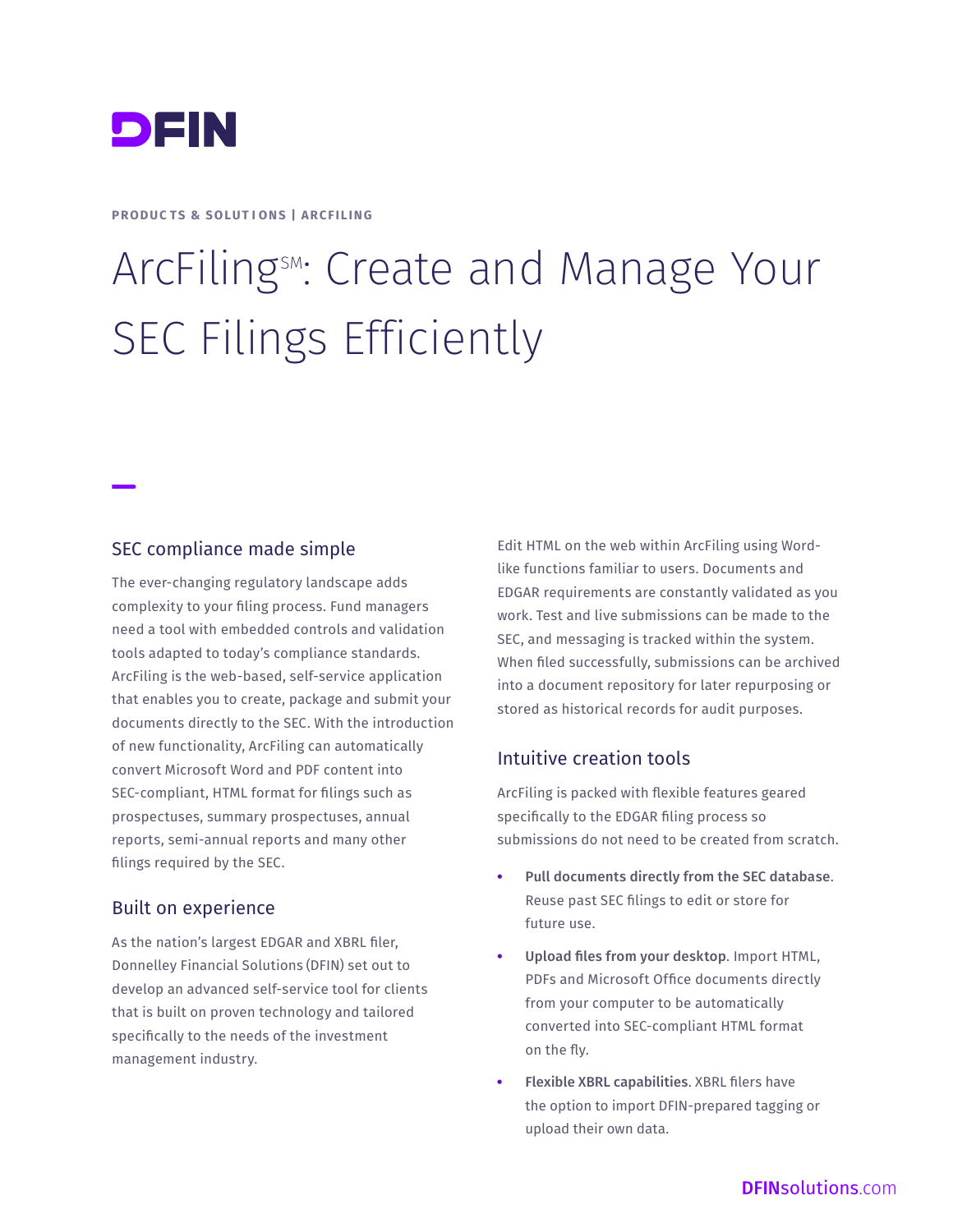

#### **PRODUCTS & SOLUTIONS | ARCFILING**

# ArcFiling SM: Create and Manage Your SEC Filings Efficiently

#### SEC compliance made simple

The ever-changing regulatory landscape adds complexity to your filing process. Fund managers need a tool with embedded controls and validation tools adapted to today's compliance standards. ArcFiling is the web-based, self-service application that enables you to create, package and submit your documents directly to the SEC. With the introduction of new functionality, ArcFiling can automatically convert Microsoft Word and PDF content into SEC-compliant, HTML format for filings such as prospectuses, summary prospectuses, annual reports, semi-annual reports and many other filings required by the SEC.

#### Built on experience

As the nation's largest EDGAR and XBRL filer, Donnelley Financial Solutions (DFIN) set out to develop an advanced self-service tool for clients that is built on proven technology and tailored specifically to the needs of the investment management industry.

Edit HTML on the web within ArcFiling using Wordlike functions familiar to users. Documents and EDGAR requirements are constantly validated as you work. Test and live submissions can be made to the SEC, and messaging is tracked within the system. When filed successfully, submissions can be archived into a document repository for later repurposing or stored as historical records for audit purposes.

#### Intuitive creation tools

ArcFiling is packed with flexible features geared specifically to the EDGAR filing process so submissions do not need to be created from scratch.

- Pull documents directly from the SEC database. Reuse past SEC filings to edit or store for future use.
- Upload files from your desktop. Import HTML, PDFs and Microsoft Office documents directly from your computer to be automatically converted into SEC-compliant HTML format on the fly.
- Flexible XBRL capabilities. XBRL filers have the option to import DFIN-prepared tagging or upload their own data.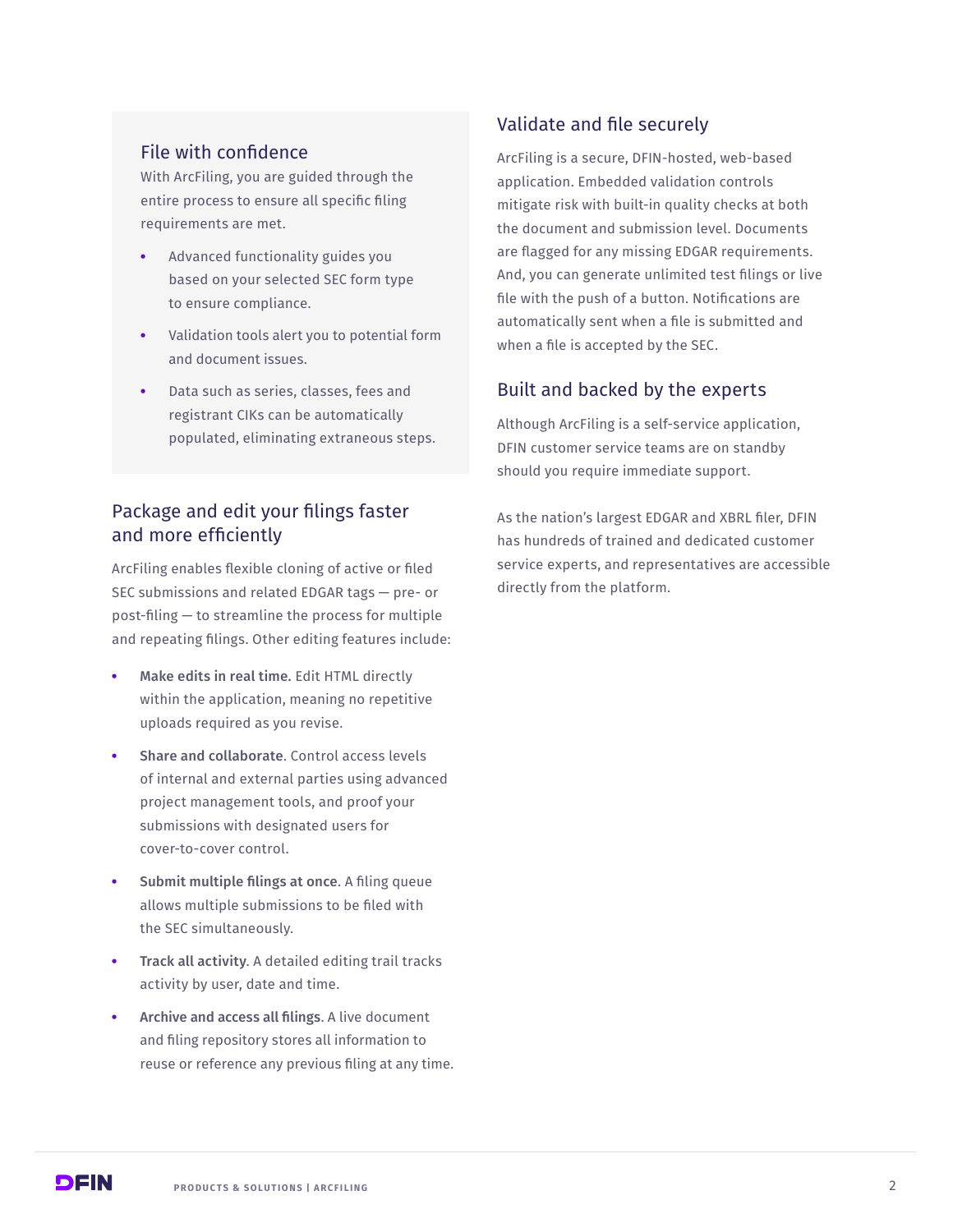#### File with confidence

With ArcFiling, you are guided through the entire process to ensure all specific filing requirements are met.

- Advanced functionality guides you based on your selected SEC form type to ensure compliance.
- Validation tools alert you to potential form and document issues.
- Data such as series, classes, fees and registrant CIKs can be automatically populated, eliminating extraneous steps.

# Package and edit your filings faster and more efficiently

ArcFiling enables flexible cloning of active or filed SEC submissions and related EDGAR tags — pre- or post-filing — to streamline the process for multiple and repeating filings. Other editing features include:

- Make edits in real time. Edit HTML directly within the application, meaning no repetitive uploads required as you revise.
- Share and collaborate. Control access levels of internal and external parties using advanced project management tools, and proof your submissions with designated users for cover-to-cover control.
- Submit multiple filings at once. A filing queue allows multiple submissions to be filed with the SEC simultaneously.
- **Track all activity.** A detailed editing trail tracks activity by user, date and time.
- Archive and access all filings. A live document and filing repository stores all information to reuse or reference any previous filing at any time.

# Validate and file securely

ArcFiling is a secure, DFIN-hosted, web-based application. Embedded validation controls mitigate risk with built-in quality checks at both the document and submission level. Documents are flagged for any missing EDGAR requirements. And, you can generate unlimited test filings or live file with the push of a button. Notifications are automatically sent when a file is submitted and when a file is accepted by the SEC.

## Built and backed by the experts

Although ArcFiling is a self-service application, DFIN customer service teams are on standby should you require immediate support.

As the nation's largest EDGAR and XBRL filer, DFIN has hundreds of trained and dedicated customer service experts, and representatives are accessible directly from the platform.